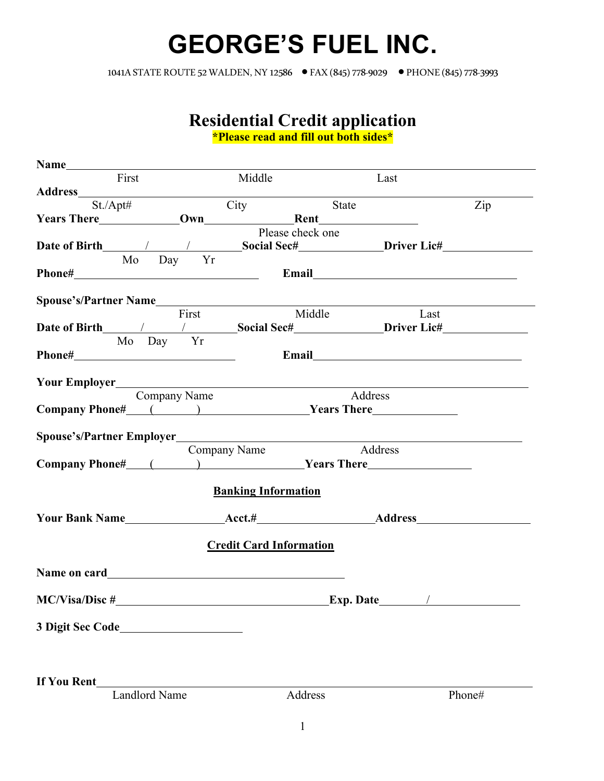## **GEORGE'S FUEL INC.**

1041A STATE ROUTE 52WALDEN, NY 12586 • FAX (845) 778-9029 • PHONE (845) 778-3993

## **Residential Credit application**

**\*Please read and fill out both sides\***

| First                                           | Middle                         | Last                                   |        |
|-------------------------------------------------|--------------------------------|----------------------------------------|--------|
|                                                 |                                |                                        |        |
| $St./\Delta pt\#$                               | City                           | State                                  | Zip    |
|                                                 |                                |                                        |        |
|                                                 | Please check one               |                                        |        |
|                                                 |                                |                                        |        |
| Mo Day Yr                                       |                                |                                        |        |
|                                                 |                                |                                        |        |
|                                                 |                                |                                        |        |
| Spouse's/Partner Name                           |                                |                                        |        |
| First                                           | Middle                         | Last                                   |        |
|                                                 |                                |                                        |        |
| Mo Day Yr                                       |                                |                                        |        |
|                                                 |                                |                                        |        |
|                                                 |                                |                                        |        |
| <b>Your Employer</b><br>Company Name<br>Address |                                |                                        |        |
|                                                 |                                |                                        |        |
| Company Phone# ( ) Years There                  |                                |                                        |        |
|                                                 |                                |                                        |        |
| Spouse's/Partner Employer________               |                                |                                        |        |
|                                                 | Address<br>Company Name        |                                        |        |
|                                                 |                                |                                        |        |
|                                                 |                                |                                        |        |
|                                                 | <b>Banking Information</b>     |                                        |        |
|                                                 |                                |                                        |        |
|                                                 |                                |                                        |        |
|                                                 | <b>Credit Card Information</b> |                                        |        |
|                                                 |                                |                                        |        |
|                                                 |                                |                                        |        |
|                                                 |                                |                                        |        |
| <b>MC/Visa/Disc#</b>                            |                                | <b>Exp. Date________</b><br>$\sqrt{2}$ |        |
|                                                 |                                |                                        |        |
|                                                 |                                |                                        |        |
|                                                 |                                |                                        |        |
|                                                 |                                |                                        |        |
|                                                 |                                |                                        |        |
| If You Rent                                     |                                |                                        |        |
| <b>Landlord Name</b>                            | Address                        |                                        | Phone# |